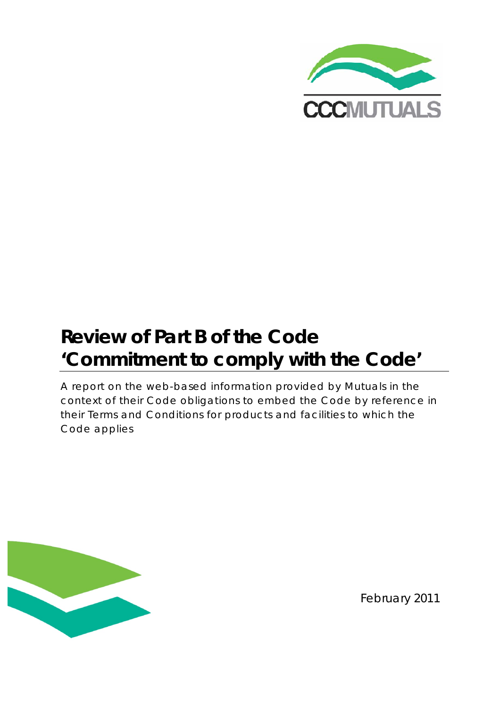

# **Review of Part B of the Code 'Commitment to comply with the Code'**

A report on the web-based information provided by Mutuals in the context of their Code obligations to embed the Code by reference in their Terms and Conditions for products and facilities to which the Code applies



February 2011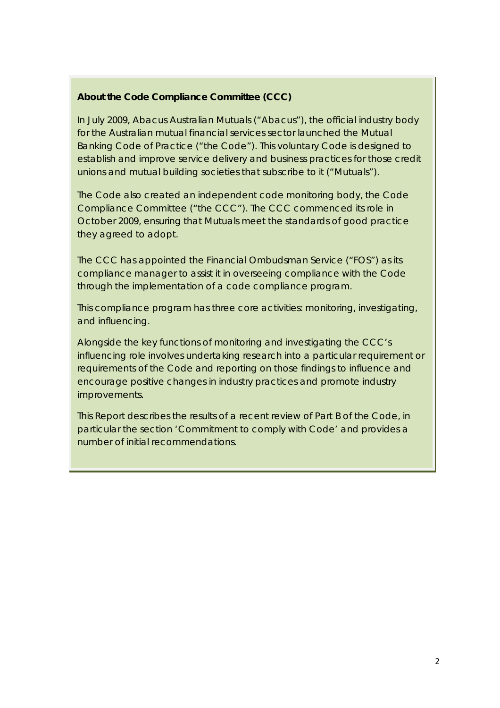#### **About the Code Compliance Committee (CCC)**

In July 2009, Abacus Australian Mutuals ("Abacus"), the official industry body for the Australian mutual financial services sector launched the Mutual Banking Code of Practice ("the Code"). This voluntary Code is designed to establish and improve service delivery and business practices for those credit unions and mutual building societies that subscribe to it ("Mutuals").

The Code also created an independent code monitoring body, the Code Compliance Committee ("the CCC"). The CCC commenced its role in October 2009, ensuring that Mutuals meet the standards of good practice they agreed to adopt.

The CCC has appointed the Financial Ombudsman Service ("FOS") as its compliance manager to assist it in overseeing compliance with the Code through the implementation of a code compliance program.

This compliance program has three core activities: monitoring, investigating, and influencing.

Alongside the key functions of monitoring and investigating the CCC's influencing role involves undertaking research into a particular requirement or requirements of the Code and reporting on those findings to influence and encourage positive changes in industry practices and promote industry improvements.

This Report describes the results of a recent review of *Part B* of the Code, in particular the section *'Commitment to comply with Code'* and provides a number of initial recommendations.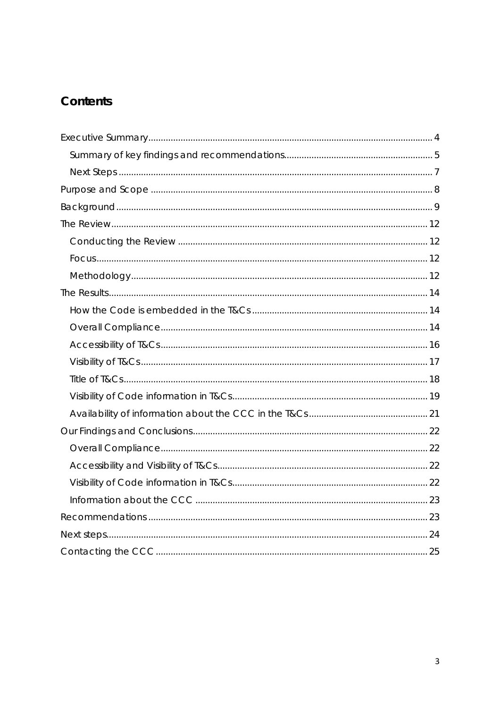# Contents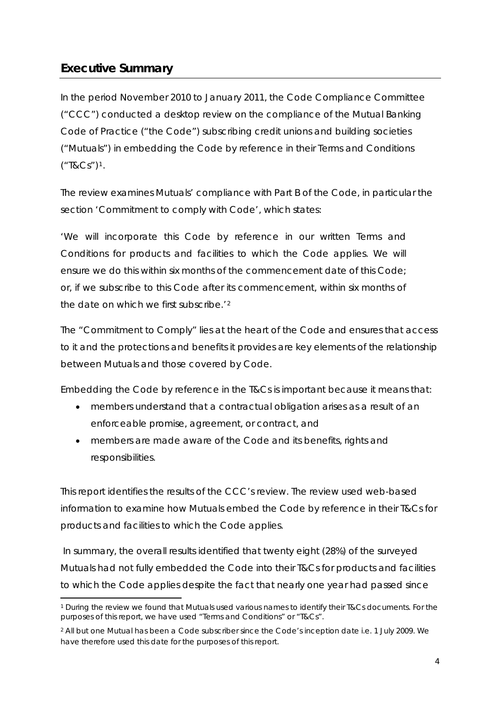# <span id="page-3-0"></span>**Executive Summary**

In the period November 2010 to January 2011, the Code Compliance Committee ("CCC") conducted a desktop review on the compliance of the Mutual Banking Code of Practice ("the Code") subscribing credit unions and building societies ("Mutuals") in embedding the Code by reference in their Terms and Conditions ("T&Cs")[1](#page-3-1).

The review examines Mutuals' compliance with *Part B* of the Code, in particular the section *'Commitment to comply with Code',* which states:

*'We will incorporate this Code by reference in our written Terms and Conditions for products and facilities to which the Code applies. We will ensure we do this within six months of the commencement date of this Code; or, if we subscribe to this Code after its commencement, within six months of the date on which we first subscribe.'*[2](#page-3-2)

The "Commitment to Comply" lies at the heart of the Code and ensures that access to it and the protections and benefits it provides are key elements of the relationship between Mutuals and those covered by Code.

Embedding the Code by reference in the T&Cs is important because it means that:

- members understand that a contractual obligation arises as a result of an enforceable promise, agreement, or contract, and
- members are made aware of the Code and its benefits, rights and responsibilities.

This report identifies the results of the CCC's review. The review used web-based information to examine how Mutuals embed the Code by reference in their T&Cs for products and facilities to which the Code applies.

 In summary, the overall results identified that twenty eight (28%) of the surveyed Mutuals had not fully embedded the Code into their T&Cs for products and facilities to which the Code applies despite the fact that nearly one year had passed since

<span id="page-3-1"></span><sup>1</sup> During the review we found that Mutuals used various names to identify their T&Cs documents. For the purposes of this report, we have used "Terms and Conditions" or "T&Cs".

<span id="page-3-2"></span><sup>2</sup> All but one Mutual has been a Code subscriber since the Code's inception date i.e. 1 July 2009. We have therefore used this date for the purposes of this report.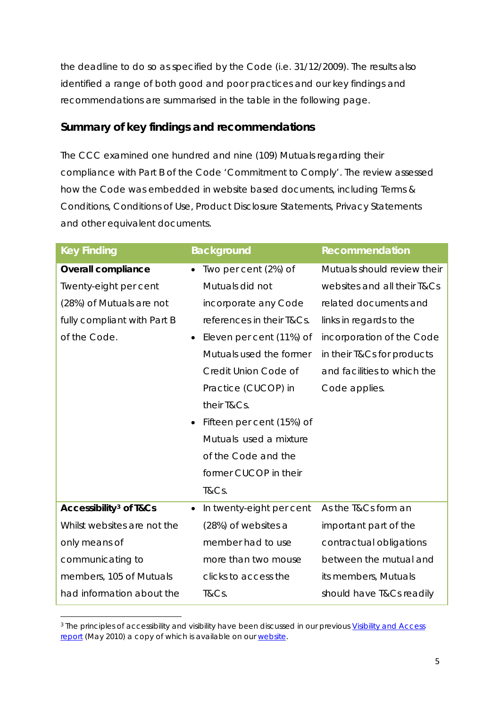<span id="page-4-0"></span>the deadline to do so as specified by the Code (i.e. 31/12/2009). The results also identified a range of both good and poor practices and our key findings and recommendations are summarised in the table in the following page.

## **Summary of key findings and recommendations**

The CCC examined one hundred and nine (109) Mutuals regarding their compliance with *Part B* of the Code *'Commitment to Comply'*. The review assessed how the Code was embedded in website based documents, including Terms & Conditions, Conditions of Use, Product Disclosure Statements, Privacy Statements and other equivalent documents.

| <b>Key Finding</b>                           | <b>Background</b>         | <b>Recommendation</b>       |
|----------------------------------------------|---------------------------|-----------------------------|
| <b>Overall compliance</b>                    | Two per cent (2%) of      | Mutuals should review their |
| Twenty-eight per cent                        | Mutuals did not           | websites and all their T&Cs |
| (28%) of Mutuals are not                     | incorporate any Code      | related documents and       |
| fully compliant with Part B                  | references in their T&Cs. | links in regards to the     |
| of the Code.                                 | Eleven per cent (11%) of  | incorporation of the Code   |
|                                              | Mutuals used the former   | in their T&Cs for products  |
|                                              | Credit Union Code of      | and facilities to which the |
|                                              | Practice (CUCOP) in       | Code applies.               |
|                                              | their T&Cs.               |                             |
|                                              | Fifteen per cent (15%) of |                             |
|                                              | Mutuals used a mixture    |                             |
|                                              | of the Code and the       |                             |
|                                              | former CUCOP in their     |                             |
|                                              | T&Cs.                     |                             |
| <b>Accessibility<sup>3</sup> of T&amp;Cs</b> | In twenty-eight per cent  | As the T&Cs form an         |
| Whilst websites are not the                  | (28%) of websites a       | important part of the       |
| only means of                                | member had to use         | contractual obligations     |
| communicating to                             | more than two mouse       | between the mutual and      |
| members, 105 of Mutuals                      | clicks to access the      | its members, Mutuals        |
| had information about the                    | T&Cs.                     | should have T&Cs readily    |

<span id="page-4-1"></span><sup>&</sup>lt;sup>3</sup> The principles of accessibility and visibility have been discussed in our previous Visibility and Access [report](http://www.cccmutuals.org/uploads/2010/06/Visibility-and-Access-Final-May-2010r1.pdf) (May 2010) a copy of which is available on our [website](http://www.cccmutuals.org/).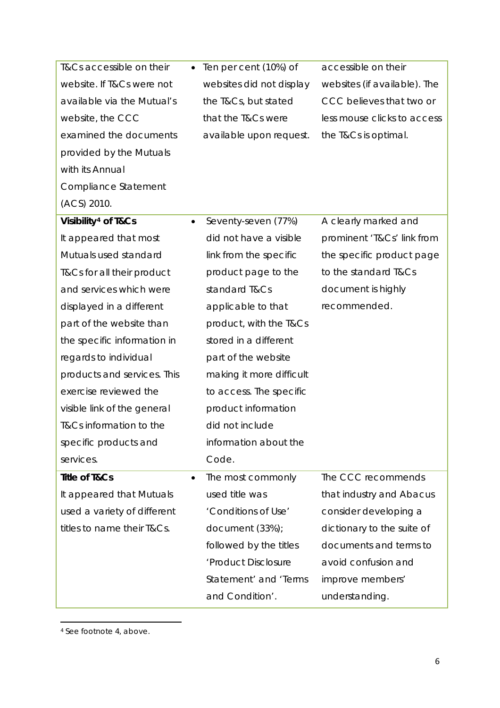| T&Cs accessible on their        |                          | Ten per cent (10%) of    | accessible on their          |  |
|---------------------------------|--------------------------|--------------------------|------------------------------|--|
| website. If T&Cs were not       |                          | websites did not display | websites (if available). The |  |
| available via the Mutual's      |                          | the T&Cs, but stated     | CCC believes that two or     |  |
| website, the CCC                |                          | that the T&Cs were       | less mouse clicks to access  |  |
| examined the documents          |                          | available upon request.  | the T&Cs is optimal.         |  |
| provided by the Mutuals         |                          |                          |                              |  |
| with its Annual                 |                          |                          |                              |  |
| Compliance Statement            |                          |                          |                              |  |
| (ACS) 2010.                     |                          |                          |                              |  |
| Visibility <sup>4</sup> of T&Cs | $\bullet$                | Seventy-seven (77%)      | A clearly marked and         |  |
| It appeared that most           |                          | did not have a visible   | prominent 'T&Cs' link from   |  |
| Mutuals used standard           |                          | link from the specific   | the specific product page    |  |
| T&Cs for all their product      |                          | product page to the      | to the standard T&Cs         |  |
| and services which were         |                          | standard T&Cs            | document is highly           |  |
| displayed in a different        |                          | applicable to that       | recommended.                 |  |
| part of the website than        |                          | product, with the T&Cs   |                              |  |
| the specific information in     |                          | stored in a different    |                              |  |
| regards to individual           |                          | part of the website      |                              |  |
| products and services. This     | making it more difficult |                          |                              |  |
| exercise reviewed the           | to access. The specific  |                          |                              |  |
| visible link of the general     | product information      |                          |                              |  |
| T&Cs information to the         | did not include          |                          |                              |  |
| specific products and           |                          | information about the    |                              |  |
| services.                       |                          | Code.                    |                              |  |
| <b>Title of T&amp;Cs</b>        | $\bullet$                | The most commonly        | The CCC recommends           |  |
| It appeared that Mutuals        |                          | used title was           | that industry and Abacus     |  |
| used a variety of different     |                          | 'Conditions of Use'      | consider developing a        |  |
| titles to name their T&Cs.      |                          | document (33%);          | dictionary to the suite of   |  |
|                                 |                          | followed by the titles   | documents and terms to       |  |
|                                 |                          | 'Product Disclosure      | avoid confusion and          |  |
|                                 |                          | Statement' and 'Terms    | improve members'             |  |
|                                 |                          | and Condition'.          | understanding.               |  |

<span id="page-5-0"></span>4 See footnote 4, above.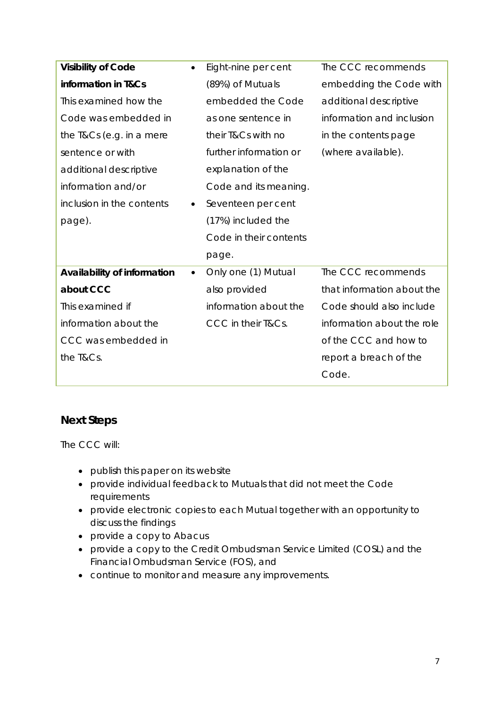<span id="page-6-0"></span>

| <b>Visibility of Code</b><br>$\bullet$   | Eight-nine per cent    | The CCC recommends         |  |
|------------------------------------------|------------------------|----------------------------|--|
| information in T&Cs                      | (89%) of Mutuals       | embedding the Code with    |  |
| This examined how the                    | embedded the Code      | additional descriptive     |  |
| Code was embedded in                     | as one sentence in     | information and inclusion  |  |
| the T&Cs (e.g. in a mere                 | their T&Cs with no     | in the contents page       |  |
| sentence or with                         | further information or | (where available).         |  |
| additional descriptive                   | explanation of the     |                            |  |
| information and/or                       | Code and its meaning.  |                            |  |
| inclusion in the contents<br>$\bullet$   | Seventeen per cent     |                            |  |
| page).                                   | (17%) included the     |                            |  |
|                                          | Code in their contents |                            |  |
|                                          | page.                  |                            |  |
| Availability of information<br>$\bullet$ | Only one (1) Mutual    | The CCC recommends         |  |
| about CCC                                | also provided          | that information about the |  |
| This examined if                         | information about the  | Code should also include   |  |
| information about the                    | CCC in their T&Cs.     | information about the role |  |
| CCC was embedded in                      |                        | of the CCC and how to      |  |
| the T&Cs.                                |                        | report a breach of the     |  |
|                                          |                        | Code.                      |  |

# **Next Steps**

The CCC will:

- publish this paper on its website
- provide individual feedback to Mutuals that did not meet the Code requirements
- provide electronic copies to each Mutual together with an opportunity to discuss the findings
- provide a copy to Abacus
- provide a copy to the Credit Ombudsman Service Limited (COSL) and the Financial Ombudsman Service (FOS), and
- continue to monitor and measure any improvements.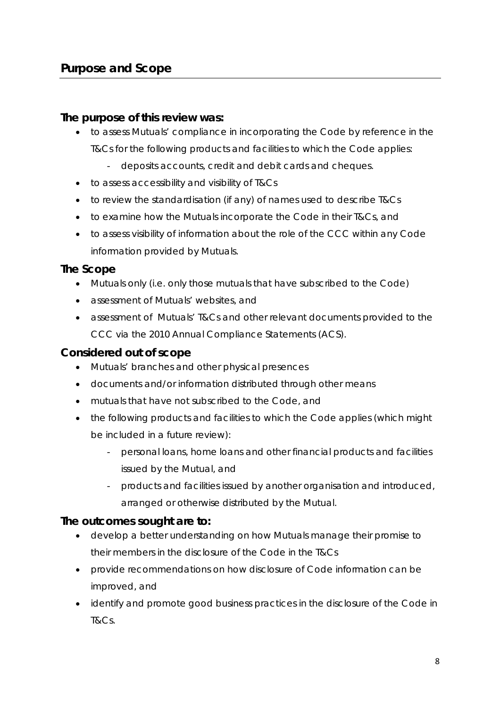#### <span id="page-7-0"></span>**The purpose of this review was:**

- to assess Mutuals' compliance in incorporating the Code by reference in the T&Cs for the following products and facilities to which the Code applies:
	- deposits accounts, credit and debit cards and cheques.
- to assess accessibility and visibility of T&Cs
- to review the standardisation (if any) of names used to describe T&Cs
- to examine how the Mutuals incorporate the Code in their T&Cs, and
- to assess visibility of information about the role of the CCC within any Code information provided by Mutuals.

#### **The Scope**

- Mutuals only (i.e. only those mutuals that have subscribed to the Code)
- assessment of Mutuals' websites, and
- assessment of Mutuals' T&Cs and other relevant documents provided to the CCC via the 2010 Annual Compliance Statements (ACS).

#### **Considered out of scope**

- Mutuals' branches and other physical presences
- documents and/or information distributed through other means
- mutuals that have not subscribed to the Code, and
- the following products and facilities to which the Code applies (which might be included in a future review):
	- personal loans, home loans and other financial products and facilities issued by the Mutual, and
	- products and facilities issued by another organisation and introduced, arranged or otherwise distributed by the Mutual.

## **The outcomes sought are to:**

- develop a better understanding on how Mutuals manage their promise to their members in the disclosure of the Code in the T&Cs
- provide recommendations on how disclosure of Code information can be improved, and
- identify and promote good business practices in the disclosure of the Code in T&Cs.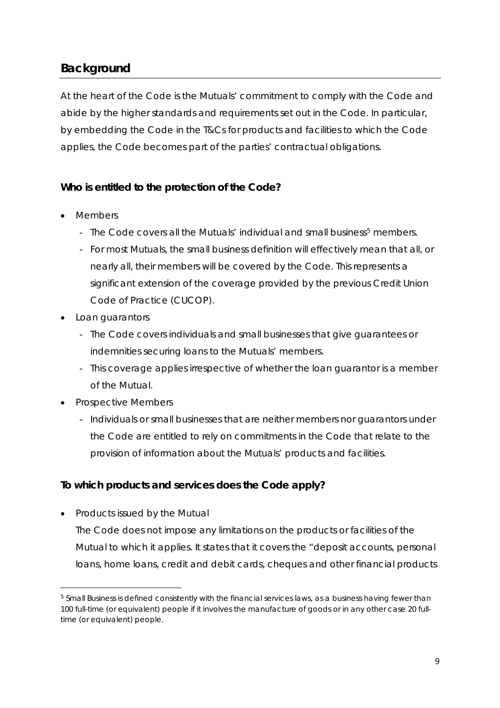# <span id="page-8-0"></span>**Background**

At the heart of the Code is the Mutuals' commitment to comply with the Code and abide by the higher standards and requirements set out in the Code. In particular, by embedding the Code in the T&Cs for products and facilities to which the Code applies, the Code becomes part of the parties' contractual obligations.

#### **Who is entitled to the protection of the Code?**

- Members
	- The Code covers all the Mutuals' individual and small business<sup>[5](#page-8-1)</sup> members.
	- For most Mutuals, the small business definition will effectively mean that all, or nearly all, their members will be covered by the Code. This represents a significant extension of the coverage provided by the previous Credit Union Code of Practice (CUCOP).
- Loan guarantors
	- The Code covers individuals and small businesses that give guarantees or indemnities securing loans to the Mutuals' members.
	- This coverage applies irrespective of whether the loan guarantor is a member of the Mutual.
- Prospective Members
	- Individuals or small businesses that are neither members nor guarantors under the Code are entitled to rely on commitments in the Code that relate to the provision of information about the Mutuals' products and facilities.

#### **To which products and services does the Code apply?**

• Products issued by the Mutual

The Code does not impose any limitations on the products or facilities of the Mutual to which it applies. It states that it covers the "deposit accounts, personal loans, home loans, credit and debit cards, cheques and other financial products

<span id="page-8-1"></span><sup>&</sup>lt;sup>5</sup> Small Business is defined consistently with the financial services laws, as a business having fewer than 100 full-time (or equivalent) people if it involves the manufacture of goods or in any other case 20 fulltime (or equivalent) people.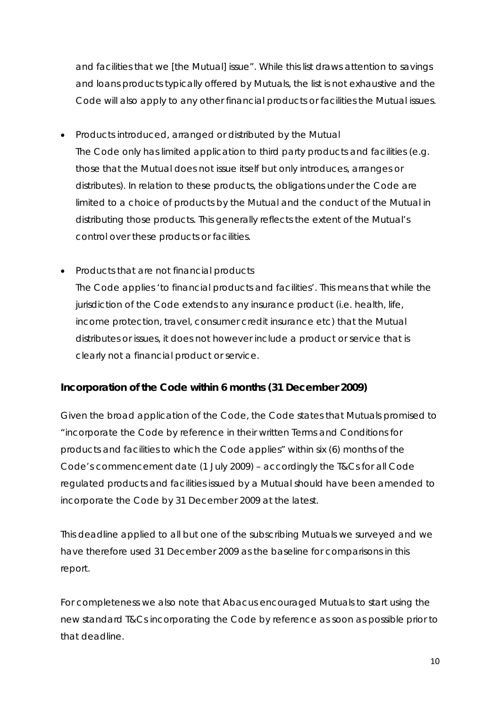and facilities that we [the Mutual] issue". While this list draws attention to savings and loans products typically offered by Mutuals, the list is not exhaustive and the Code will also apply to any other financial products or facilities the Mutual issues.

- Products introduced, arranged or distributed by the Mutual The Code only has limited application to third party products and facilities (e.g. those that the Mutual does not issue itself but only introduces, arranges or distributes). In relation to these products, the obligations under the Code are limited to a choice of products by the Mutual and the conduct of the Mutual in distributing those products. This generally reflects the extent of the Mutual's control over these products or facilities.
- Products that are not financial products The Code applies 'to financial products and facilities'. This means that while the jurisdiction of the Code extends to any insurance product (i.e. health, life, income protection, travel, consumer credit insurance etc) that the Mutual distributes or issues, it does not however include a product or service that is clearly not a financial product or service.

#### **Incorporation of the Code within 6 months (31 December 2009)**

Given the broad application of the Code, the Code states that Mutuals promised to "incorporate the Code by reference in their written Terms and Conditions for products and facilities to which the Code applies" within six (6) months of the Code's commencement date (1 July 2009) – accordingly the T&Cs for all Code regulated products and facilities issued by a Mutual should have been amended to incorporate the Code by 31 December 2009 at the latest.

This deadline applied to all but one of the subscribing Mutuals we surveyed and we have therefore used 31 December 2009 as the baseline for comparisons in this report.

For completeness we also note that Abacus encouraged Mutuals to start using the new standard T&Cs incorporating the Code by reference as soon as possible prior to that deadline.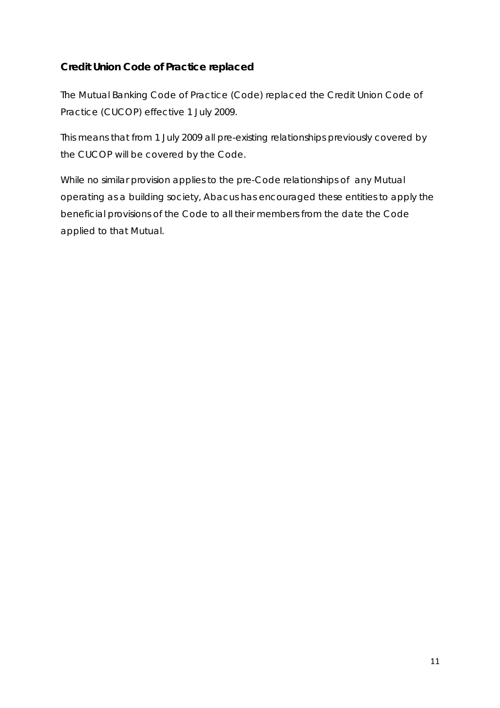## **Credit Union Code of Practice replaced**

The Mutual Banking Code of Practice (Code) replaced the Credit Union Code of Practice (CUCOP) effective 1 July 2009.

This means that from 1 July 2009 all pre-existing relationships previously covered by the CUCOP will be covered by the Code.

While no similar provision applies to the pre-Code relationships of any Mutual operating as a building society, Abacus has encouraged these entities to apply the beneficial provisions of the Code to all their members from the date the Code applied to that Mutual.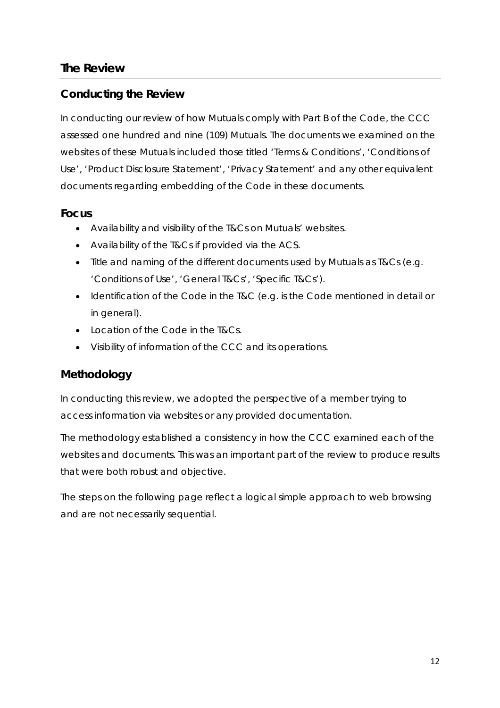# <span id="page-11-0"></span>**The Review**

## **Conducting the Review**

In conducting our review of how Mutuals comply with *Part B* of the Code, the CCC assessed one hundred and nine (109) Mutuals. The documents we examined on the websites of these Mutuals included those titled 'Terms & Conditions', 'Conditions of Use', 'Product Disclosure Statement', 'Privacy Statement' and any other equivalent documents regarding embedding of the Code in these documents.

## **Focus**

- Availability and visibility of the T&Cs on Mutuals' websites.
- Availability of the T&Cs if provided via the ACS.
- Title and naming of the different documents used by Mutuals as T&Cs (e.g. 'Conditions of Use', 'General T&Cs', 'Specific T&Cs').
- Identification of the Code in the T&C (e.g. is the Code mentioned in detail or in general).
- Location of the Code in the T&Cs.
- Visibility of information of the CCC and its operations.

# **Methodology**

In conducting this review, we adopted the perspective of a member trying to access information via websites or any provided documentation.

The methodology established a consistency in how the CCC examined each of the websites and documents. This was an important part of the review to produce results that were both robust and objective.

The steps on the following page reflect a logical simple approach to web browsing and are not necessarily sequential.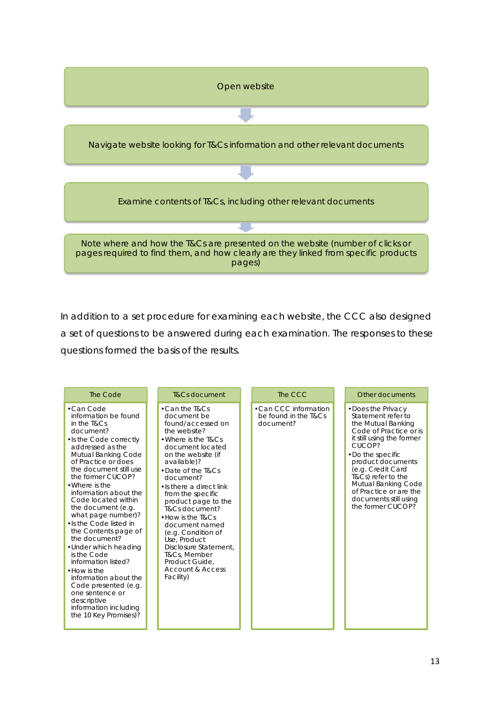

In addition to a set procedure for examining each website, the CCC also designed a set of questions to be answered during each examination. The responses to these questions formed the basis of the results.

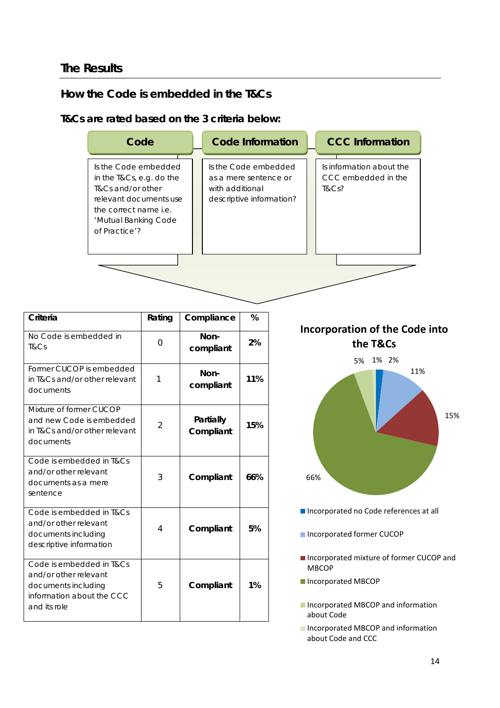## <span id="page-13-0"></span>**The Results**

## **How the Code is embedded in the T&Cs**

#### **T&Cs are rated based on the 3 criteria below:**

| Code                                                                                                                                                              | <b>Code Information</b>                                                                      | <b>CCC</b> Information                                   |
|-------------------------------------------------------------------------------------------------------------------------------------------------------------------|----------------------------------------------------------------------------------------------|----------------------------------------------------------|
| Is the Code embedded<br>in the T&Cs, e.g. do the<br>T&Cs and/or other<br>relevant documents use<br>the correct name i.e.<br>'Mutual Banking Code<br>of Practice'? | Is the Code embedded<br>as a mere sentence or<br>with additional<br>descriptive information? | Is information about the<br>CCC embedded in the<br>T&Cs? |
|                                                                                                                                                                   |                                                                                              |                                                          |

<span id="page-13-1"></span>

| Criteria                                                                                                              | Rating   | Compliance             | %   |
|-----------------------------------------------------------------------------------------------------------------------|----------|------------------------|-----|
| No Code is embedded in<br>T&Cs                                                                                        | $\Omega$ | Non-<br>compliant      | 2%  |
| Former CUCOP is embedded<br>in T&Cs and/or other relevant<br>documents                                                | 1        | Non-<br>compliant      | 11% |
| Mixture of former CUCOP<br>and new Code is embedded<br>in T&Cs and/or other relevant<br>documents                     | 2        | Partially<br>Compliant | 15% |
| Code is embedded in T&Cs<br>and/or other relevant<br>documents as a mere<br>sentence                                  | 3        | Compliant              | 66% |
| Code is embedded in T&Cs<br>and/or other relevant<br>documents including<br>descriptive information                   | 4        | Compliant              | 5%  |
| Code is embedded in T&Cs<br>and/or other relevant<br>documents including<br>information about the CCC<br>and its role | 5        | Compliant              | 1%  |

**Overall Compliance the T&Cs Incorporation of the Code into**



- Incorporated no Code references at all
- Incorporated former CUCOP
- Incorporated mixture of former CUCOP and **MBCOP**
- Incorporated MBCOP
- **Incorporated MBCOP and information** about Code
- **Incorporated MBCOP and information** about Code and CCC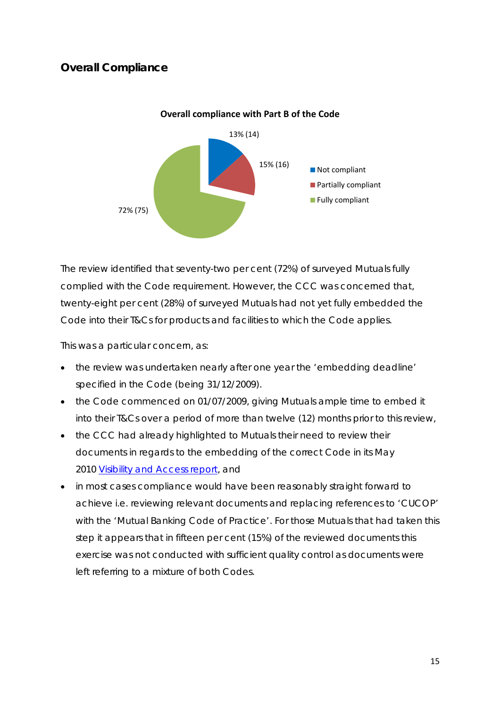## **Overall Compliance**



#### **Overall compliance with Part B of the Code**

The review identified that seventy-two per cent (72%) of surveyed Mutuals fully complied with the Code requirement. However, the CCC was concerned that, twenty-eight per cent (28%) of surveyed Mutuals had not yet fully embedded the Code into their T&Cs for products and facilities to which the Code applies.

This was a particular concern, as:

- the review was undertaken nearly after one year the 'embedding deadline' specified in the Code (being 31/12/2009).
- the Code commenced on 01/07/2009, giving Mutuals ample time to embed it into their T&Cs over a period of more than twelve (12) months prior to this review,
- the CCC had already highlighted to Mutuals their need to review their documents in regards to the embedding of the correct Code in its May 2010 [Visibility and Access report,](http://www.cccmutuals.org/uploads/2010/06/Visibility-and-Access-Final-May-2010r1.pdf) and
- in most cases compliance would have been reasonably straight forward to achieve i.e. reviewing relevant documents and replacing references to 'CUCOP' with the 'Mutual Banking Code of Practice'. For those Mutuals that had taken this step it appears that in fifteen per cent (15%) of the reviewed documents this exercise was not conducted with sufficient quality control as documents were left referring to a mixture of both Codes.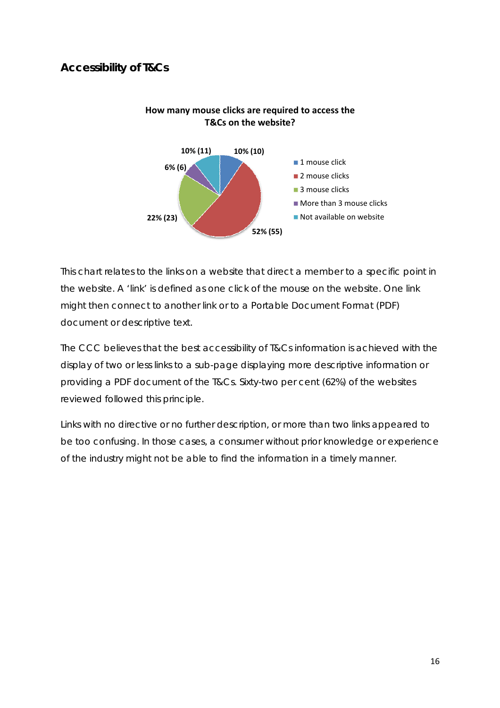## <span id="page-15-0"></span>**Accessibility of T&Cs**



#### **How many mouse clicks are required to access the T&Cs on the website?**

This chart relates to the links on a website that direct a member to a specific point in the website. A 'link' is defined as one click of the mouse on the website. One link might then connect to another link or to a Portable Document Format (PDF) document or descriptive text.

The CCC believes that the best accessibility of T&Cs information is achieved with the display of two or less links to a sub-page displaying more descriptive information or providing a PDF document of the T&Cs. Sixty-two per cent (62%) of the websites reviewed followed this principle.

Links with no directive or no further description, or more than two links appeared to be too confusing. In those cases, a consumer without prior knowledge or experience of the industry might not be able to find the information in a timely manner.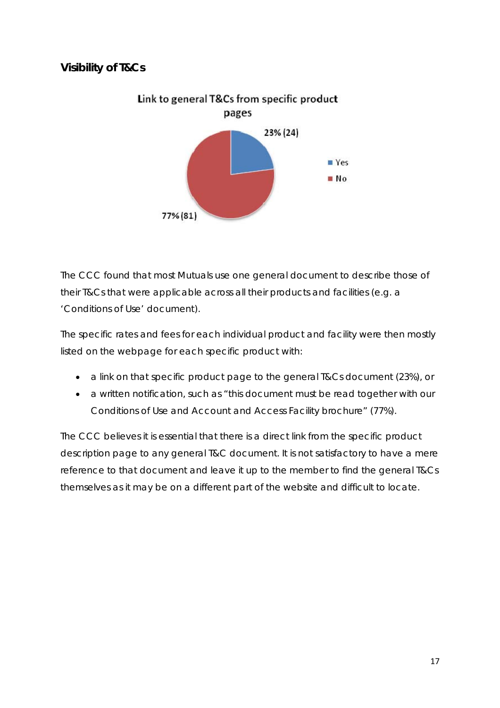# <span id="page-16-0"></span>**Visibility of T&Cs**



The CCC found that most Mutuals use one general document to describe those of their T&Cs that were applicable across all their products and facilities (e.g. a 'Conditions of Use' document).

The specific rates and fees for each individual product and facility were then mostly listed on the webpage for each specific product with:

- a link on that specific product page to the general T&Cs document (23%), or
- a written notification, such as "this document must be read together with our Conditions of Use and Account and Access Facility brochure" (77%).

The CCC believes it is essential that there is a direct link from the specific product description page to any general T&C document. It is not satisfactory to have a mere reference to that document and leave it up to the member to find the general T&Cs themselves as it may be on a different part of the website and difficult to locate.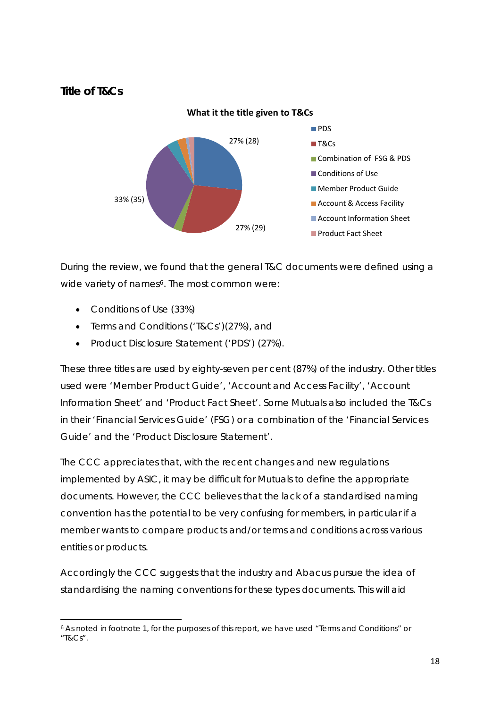#### <span id="page-17-0"></span>**Title of T&Cs**



During the review, we found that the general T&C documents were defined using a wide variety of names<sup>[6](#page-17-1)</sup>. The most common were:

• Conditions of Use (33%)

- Terms and Conditions ('T&Cs')(27%), and
- Product Disclosure Statement ('PDS') (27%).

These three titles are used by eighty-seven per cent (87%) of the industry. Other titles used were 'Member Product Guide', 'Account and Access Facility', 'Account Information Sheet' and 'Product Fact Sheet'. Some Mutuals also included the T&Cs in their 'Financial Services Guide' (FSG) or a combination of the 'Financial Services Guide' and the 'Product Disclosure Statement'.

The CCC appreciates that, with the recent changes and new regulations implemented by ASIC, it may be difficult for Mutuals to define the appropriate documents. However, the CCC believes that the lack of a standardised naming convention has the potential to be very confusing for members, in particular if a member wants to compare products and/or terms and conditions across various entities or products.

Accordingly the CCC suggests that the industry and Abacus pursue the idea of standardising the naming conventions for these types documents. This will aid

<span id="page-17-1"></span><sup>6</sup> As noted in footnote 1, for the purposes of this report, we have used "Terms and Conditions" or "T&Cs".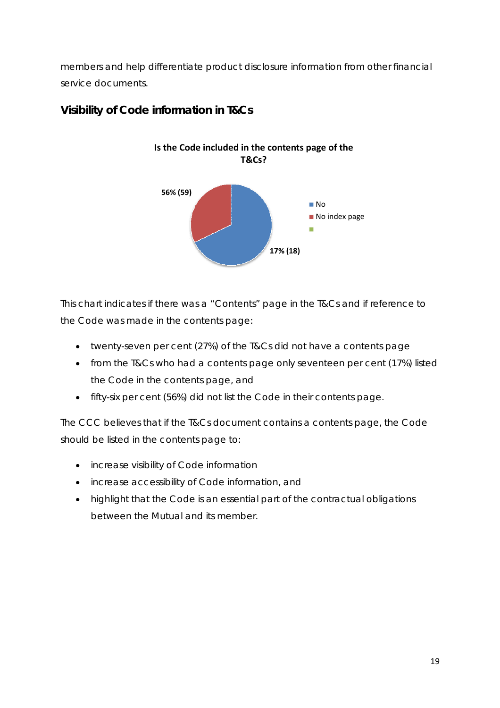<span id="page-18-0"></span>members and help differentiate product disclosure information from other financial service documents.



# **Visibility of Code information in T&Cs**

This chart indicates if there was a "Contents" page in the T&Cs and if reference to the Code was made in the contents page:

- twenty-seven per cent (27%) of the T&Cs did not have a contents page
- from the T&Cs who had a contents page only seventeen per cent (17%) listed the Code in the contents page, and
- fifty-six per cent (56%) did not list the Code in their contents page.

The CCC believes that if the T&Cs document contains a contents page, the Code should be listed in the contents page to:

- increase visibility of Code information
- increase accessibility of Code information, and
- highlight that the Code is an essential part of the contractual obligations between the Mutual and its member.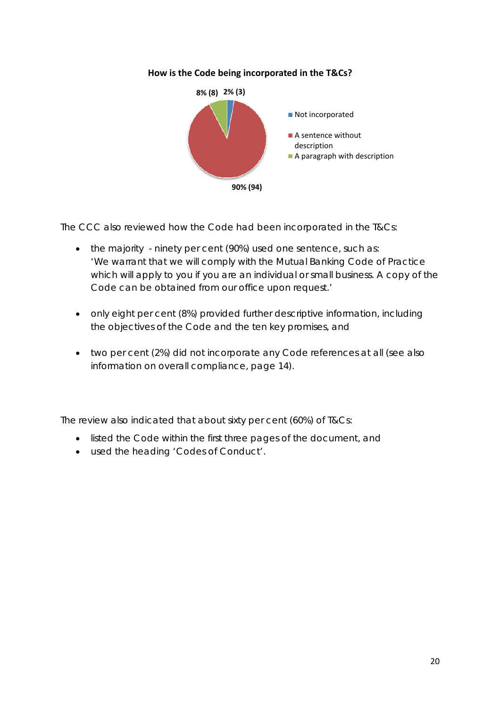#### **How is the Code being incorporated in the T&Cs?**



The CCC also reviewed how the Code had been incorporated in the T&Cs:

- the majority ninety per cent (90%) used one sentence, such as: *'We warrant that we will comply with the Mutual Banking Code of Practice which will apply to you if you are an individual or small business. A copy of the Code can be obtained from our office upon request.'*
- only eight per cent (8%) provided further descriptive information, including the objectives of the Code and the ten key promises, and
- two per cent (2%) did not incorporate any Code references at all (see also information on overall compliance, page [14](#page-13-1)).

The review also indicated that about sixty per cent (60%) of T&Cs:

- listed the Code within the first three pages of the document, and
- used the heading 'Codes of Conduct'.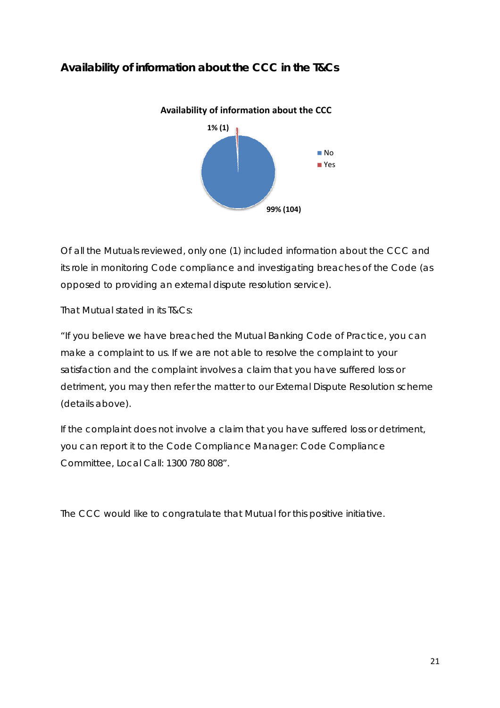# <span id="page-20-0"></span>**Availability of information about the CCC in the T&Cs**



Of all the Mutuals reviewed, only one (1) included information about the CCC and its role in monitoring Code compliance and investigating breaches of the Code (as opposed to providing an external dispute resolution service).

That Mutual stated in its T&Cs:

*"If you believe we have breached the Mutual Banking Code of Practice, you can make a complaint to us. If we are not able to resolve the complaint to your satisfaction and the complaint involves a claim that you have suffered loss or detriment, you may then refer the matter to our External Dispute Resolution scheme (details above).* 

*If the complaint does not involve a claim that you have suffered loss or detriment, you can report it to the Code Compliance Manager: Code Compliance Committee, Local Call: 1300 780 808".* 

The CCC would like to congratulate that Mutual for this positive initiative.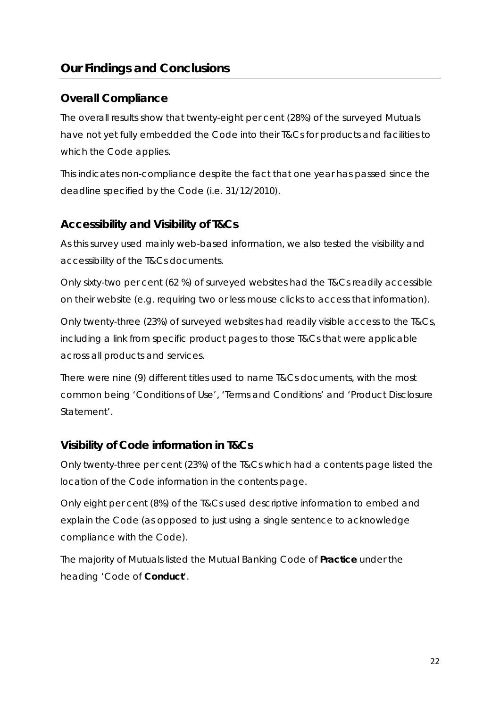# <span id="page-21-0"></span>**Our Findings and Conclusions**

#### **Overall Compliance**

The overall results show that twenty-eight per cent (28%) of the surveyed Mutuals have not yet fully embedded the Code into their T&Cs for products and facilities to which the Code applies.

This indicates non-compliance despite the fact that one year has passed since the deadline specified by the Code (i.e. 31/12/2010).

#### **Accessibility and Visibility of T&Cs**

As this survey used mainly web-based information, we also tested the visibility and accessibility of the T&Cs documents.

Only sixty-two per cent (62 %) of surveyed websites had the T&Cs readily accessible on their website (e.g. requiring two or less mouse clicks to access that information).

Only twenty-three (23%) of surveyed websites had readily visible access to the T&Cs, including a link from specific product pages to those T&Cs that were applicable across all products and services.

There were nine (9) different titles used to name T&Cs documents, with the most common being 'Conditions of Use', 'Terms and Conditions' and 'Product Disclosure Statement'.

#### **Visibility of Code information in T&Cs**

Only twenty-three per cent (23%) of the T&Cs which had a contents page listed the location of the Code information in the contents page.

Only eight per cent (8%) of the T&Cs used descriptive information to embed and explain the Code (as opposed to just using a single sentence to acknowledge compliance with the Code).

The majority of Mutuals listed the Mutual Banking Code of **Practice** under the heading 'Code of **Conduct**'.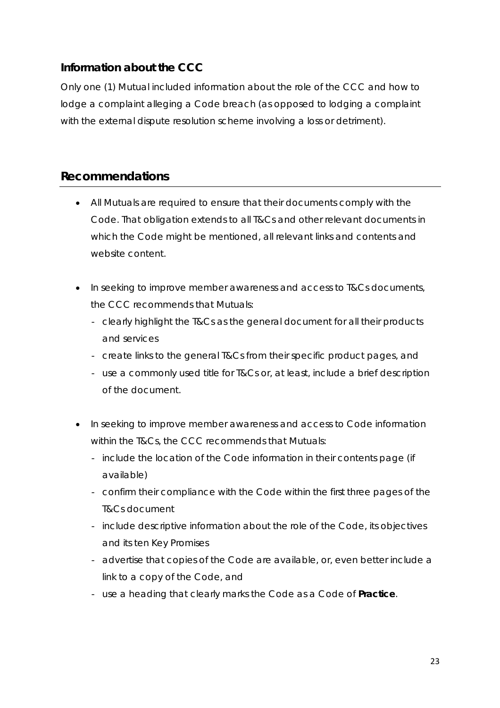## <span id="page-22-0"></span>**Information about the CCC**

Only one (1) Mutual included information about the role of the CCC and how to lodge a complaint alleging a Code breach (as opposed to lodging a complaint with the external dispute resolution scheme involving a loss or detriment).

## **Recommendations**

- All Mutuals are required to ensure that their documents comply with the Code. That obligation extends to all T&Cs and other relevant documents in which the Code might be mentioned, all relevant links and contents and website content.
- In seeking to improve member awareness and access to T&Cs documents, the CCC recommends that Mutuals:
	- clearly highlight the T&Cs as the general document for all their products and services
	- create links to the general T&Cs from their specific product pages, and
	- use a commonly used title for T&Cs or, at least, include a brief description of the document.
- In seeking to improve member awareness and access to Code information within the T&Cs, the CCC recommends that Mutuals:
	- include the location of the Code information in their contents page (if available)
	- confirm their compliance with the Code within the first three pages of the T&Cs document
	- include descriptive information about the role of the Code, its objectives and its ten Key Promises
	- advertise that copies of the Code are available, or, even better include a link to a copy of the Code, and
	- use a heading that clearly marks the Code as a Code of **Practice**.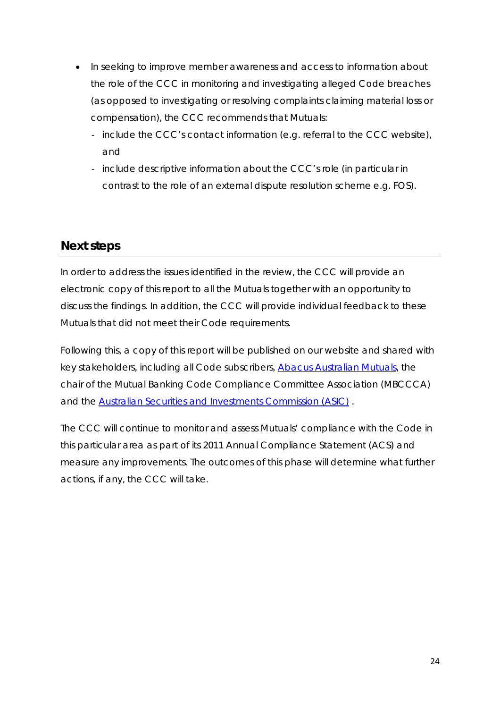- <span id="page-23-0"></span>• In seeking to improve member awareness and access to information about the role of the CCC in monitoring and investigating alleged Code breaches (as opposed to investigating or resolving complaints claiming material loss or compensation), the CCC recommends that Mutuals:
	- include the CCC's contact information (e.g. referral to the CCC website), and
	- include descriptive information about the CCC's role (in particular in contrast to the role of an external dispute resolution scheme e.g. FOS).

# **Next steps**

In order to address the issues identified in the review, the CCC will provide an electronic copy of this report to all the Mutuals together with an opportunity to discuss the findings. In addition, the CCC will provide individual feedback to these Mutuals that did not meet their Code requirements.

Following this, a copy of this report will be published on our website and shared with key stakeholders, including all Code subscribers, [Abacus Australian Mutuals](http://www.abacus.org.au/), the chair of the Mutual Banking Code Compliance Committee Association (MBCCCA) and the [Australian Securities and Investments Commission \(ASIC\)](http://www.asic.gov.au/asic/asic.nsf) .

The CCC will continue to monitor and assess Mutuals' compliance with the Code in this particular area as part of its 2011 Annual Compliance Statement (ACS) and measure any improvements. The outcomes of this phase will determine what further actions, if any, the CCC will take.